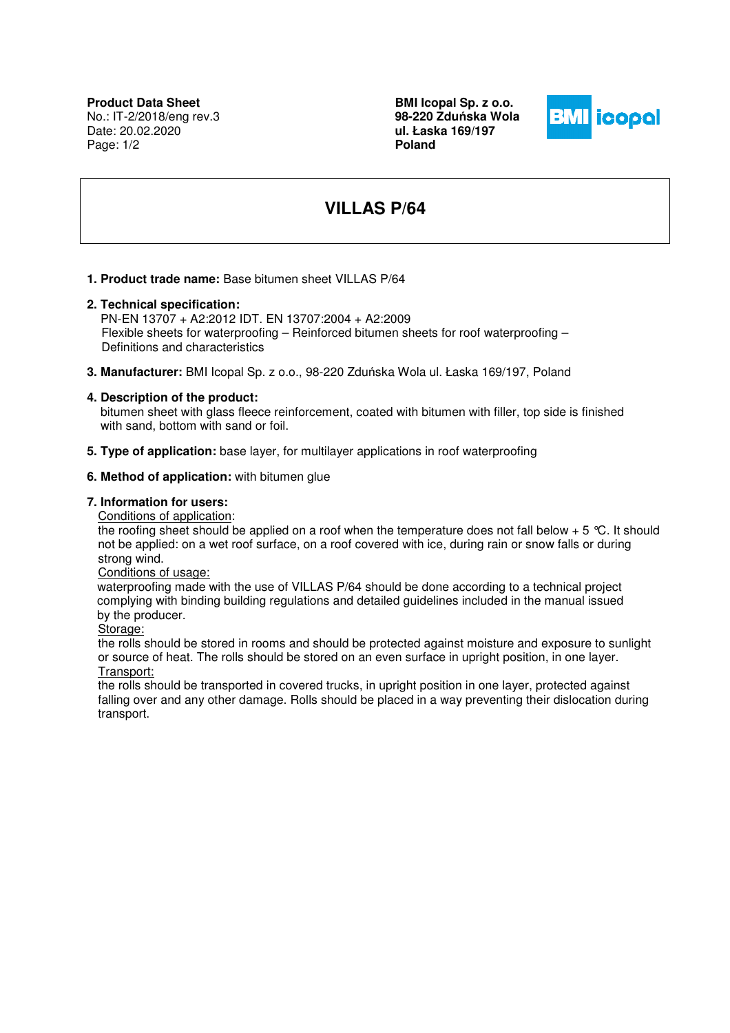No.: IT-2/2018/eng rev.3 Date: 20.02.2020 Page: 1/2

**BMI Icopal Sp. z o.o. 98-220 Zdu**ń**ska Wola ul. Łaska 169/197 Poland** 



# **VILLAS P/64**

**1. Product trade name:** Base bitumen sheet VILLAS P/64

# **2. Technical specification:**

 PN-EN 13707 + A2:2012 IDT. EN 13707:2004 + A2:2009 Flexible sheets for waterproofing – Reinforced bitumen sheets for roof waterproofing – Definitions and characteristics

**3. Manufacturer:** BMI Icopal Sp. z o.o., 98-220 Zduńska Wola ul. Łaska 169/197, Poland

## **4. Description of the product:**

 bitumen sheet with glass fleece reinforcement, coated with bitumen with filler, top side is finished with sand, bottom with sand or foil.

**5. Type of application:** base layer, for multilayer applications in roof waterproofing

#### **6. Method of application:** with bitumen glue

#### **7. Information for users:**

Conditions of application:

the roofing sheet should be applied on a roof when the temperature does not fall below  $+5$  °C. It should not be applied: on a wet roof surface, on a roof covered with ice, during rain or snow falls or during strong wind.

#### Conditions of usage:

 waterproofing made with the use of VILLAS P/64 should be done according to a technical project complying with binding building regulations and detailed guidelines included in the manual issued by the producer.

Storage:

the rolls should be stored in rooms and should be protected against moisture and exposure to sunlight or source of heat. The rolls should be stored on an even surface in upright position, in one layer. Transport:

the rolls should be transported in covered trucks, in upright position in one layer, protected against falling over and any other damage. Rolls should be placed in a way preventing their dislocation during transport.